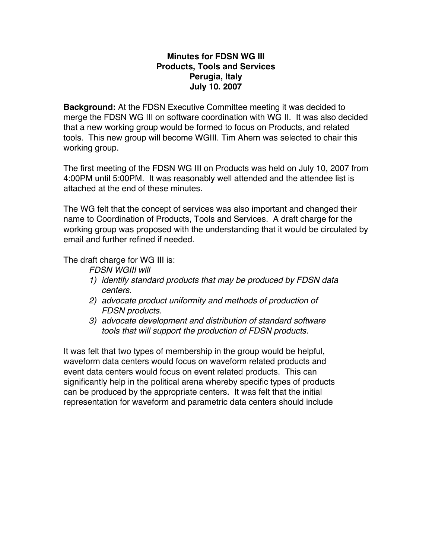## **Minutes for FDSN WG III Products, Tools and Services Perugia, Italy July 10. 2007**

**Background:** At the FDSN Executive Committee meeting it was decided to merge the FDSN WG III on software coordination with WG II. It was also decided that a new working group would be formed to focus on Products, and related tools. This new group will become WGIII. Tim Ahern was selected to chair this working group.

The first meeting of the FDSN WG III on Products was held on July 10, 2007 from 4:00PM until 5:00PM. It was reasonably well attended and the attendee list is attached at the end of these minutes.

The WG felt that the concept of services was also important and changed their name to Coordination of Products, Tools and Services. A draft charge for the working group was proposed with the understanding that it would be circulated by email and further refined if needed.

The draft charge for WG III is:

*FDSN WGIII will* 

- *1) identify standard products that may be produced by FDSN data centers.*
- *2) advocate product uniformity and methods of production of FDSN products.*
- *3) advocate development and distribution of standard software tools that will support the production of FDSN products.*

It was felt that two types of membership in the group would be helpful, waveform data centers would focus on waveform related products and event data centers would focus on event related products. This can significantly help in the political arena whereby specific types of products can be produced by the appropriate centers. It was felt that the initial representation for waveform and parametric data centers should include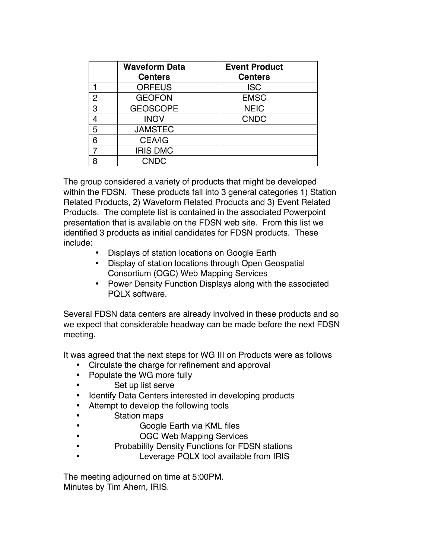|   | <b>Waveform Data</b><br><b>Centers</b> | <b>Event Product</b><br><b>Centers</b> |
|---|----------------------------------------|----------------------------------------|
|   | <b>ORFEUS</b>                          | <b>ISC</b>                             |
| 2 | <b>GEOFON</b>                          | <b>EMSC</b>                            |
| 3 | <b>GEOSCOPE</b>                        | <b>NEIC</b>                            |
| 4 | <b>INGV</b>                            | <b>CNDC</b>                            |
| 5 | <b>JAMSTEC</b>                         |                                        |
| 6 | <b>CEA/IG</b>                          |                                        |
| 7 | <b>IRIS DMC</b>                        |                                        |
| я | <b>CNDC</b>                            |                                        |

The group considered a variety of products that might be developed within the FDSN. These products fall into 3 general categories 1) Station Related Products, 2) Waveform Related Products and 3) Event Related Products. The complete list is contained in the associated Powerpoint presentation that is available on the FDSN web site. From this list we identified 3 products as initial candidates for FDSN products. These include:

- Displays of station locations on Google Earth
- Display of station locations through Open Geospatial Consortium (OGC) Web Mapping Services
- Power Density Function Displays along with the associated PQLX software.

Several FDSN data centers are already involved in these products and so we expect that considerable headway can be made before the next FDSN meeting.

It was agreed that the next steps for WG III on Products were as follows

- Circulate the charge for refinement and approval
- Populate the WG more fully
- Set up list serve
- Identify Data Centers interested in developing products
- Attempt to develop the following tools
- Station maps
- Google Earth via KML files
	- OGC Web Mapping Services
- Probability Density Functions for FDSN stations
	- Leverage PQLX tool available from IRIS

The meeting adjourned on time at 5:00PM. Minutes by Tim Ahern, IRIS.